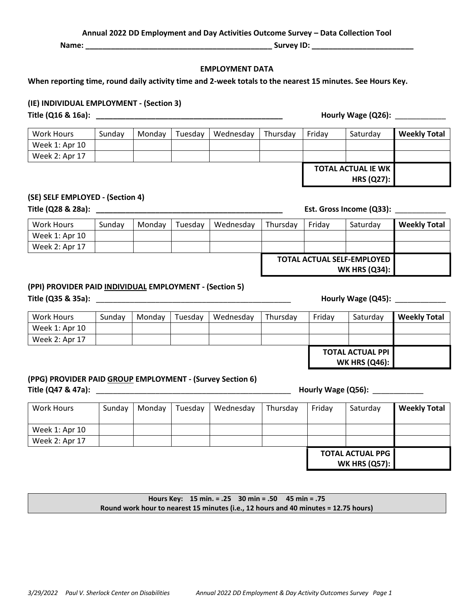*3/29/2022 Paul V. Sherlock Center on Disabilities Annual 2022 DD Employment & Day Activity Outcomes Survey Page 1*

#### **Annual 2022 DD Employment and Day Activities Outcome Survey – Data Collection Tool**

**Name: \_\_\_\_\_\_\_\_\_\_\_\_\_\_\_\_\_\_\_\_\_\_\_\_\_\_\_\_\_\_\_\_\_\_\_\_\_\_\_\_\_\_\_\_ Survey ID: \_\_\_\_\_\_\_\_\_\_\_\_\_\_\_\_\_\_\_\_\_\_\_\_**

#### **EMPLOYMENT DATA**

**When reporting time, round daily activity time and 2-week totals to the nearest 15 minutes. See Hours Key.**

### **(IE) INDIVIDUAL EMPLOYMENT - (Section 3)**

| <b>Work Hours</b> | Sundav | Mondav | Tuesdav | Wednesdav | Thursdav | Friday | Saturdav                  | <b>Weekly Total</b> |
|-------------------|--------|--------|---------|-----------|----------|--------|---------------------------|---------------------|
| Week 1: Apr 10    |        |        |         |           |          |        |                           |                     |
| Week 2: Apr 17    |        |        |         |           |          |        |                           |                     |
|                   |        |        |         |           |          |        | <b>TOTAL ACTUAL IE WK</b> |                     |

### **(SE) SELF EMPLOYED - (Section 4)**

**Title (Q28 & 28a): \_\_\_\_\_\_\_\_\_\_\_\_\_\_\_\_\_\_\_\_\_\_\_\_\_\_\_\_\_\_\_\_\_\_\_\_\_\_\_\_\_\_\_\_ Est. Gross Income (Q33):** \_\_\_\_\_\_\_\_\_\_\_\_

**HRS (Q27):**

| Work Hours     | Sunday | Mondav | Tuesdav | Wednesday | Thursdav | Fridav | Saturdav                                                  | <b>Weekly Total</b> |
|----------------|--------|--------|---------|-----------|----------|--------|-----------------------------------------------------------|---------------------|
| Week 1: Apr 10 |        |        |         |           |          |        |                                                           |                     |
| Week 2: Apr 17 |        |        |         |           |          |        |                                                           |                     |
|                |        |        |         |           |          |        | <b>TOTAL ACTUAL SELF-EMPLOYED</b><br><b>WK HRS (Q34):</b> |                     |

## **(PPI) PROVIDER PAID INDIVIDUAL EMPLOYMENT - (Section 5)**

**Title (Q35 & 35a):** \_\_\_\_\_\_\_\_\_\_\_\_\_\_\_\_\_\_\_\_\_\_\_\_\_\_\_\_\_\_\_\_\_\_\_\_\_\_\_\_\_\_\_\_\_\_ **Hourly Wage (Q45):** \_\_\_\_\_\_\_\_\_\_\_\_

| Work Hours     | Sunday | Mondav | Tuesdav | Wednesday | Thursday | Friday | Saturdav                                        | <b>Weekly Total</b> |
|----------------|--------|--------|---------|-----------|----------|--------|-------------------------------------------------|---------------------|
| Week 1: Apr 10 |        |        |         |           |          |        |                                                 |                     |
| Week 2: Apr 17 |        |        |         |           |          |        |                                                 |                     |
|                |        |        |         |           |          |        | <b>TOTAL ACTUAL PPI</b><br><b>WK HRS (Q46):</b> |                     |

# **(PPG) PROVIDER PAID GROUP EMPLOYMENT - (Survey Section 6) Title (Q47 & 47a):** \_\_\_\_\_\_\_\_\_\_\_\_\_\_\_\_\_\_\_\_\_\_\_\_\_\_\_\_\_\_\_\_\_\_\_\_\_\_\_\_\_\_\_\_\_\_ **Hourly Wage (Q56):** \_\_\_\_\_\_\_\_\_\_\_\_

| Work Hours     | Sunday | Monday | Tuesday | Wednesday | Thursday | Friday | Saturday                                        | <b>Weekly Total</b> |
|----------------|--------|--------|---------|-----------|----------|--------|-------------------------------------------------|---------------------|
| Week 1: Apr 10 |        |        |         |           |          |        |                                                 |                     |
| Week 2: Apr 17 |        |        |         |           |          |        |                                                 |                     |
|                |        |        |         |           |          |        | <b>TOTAL ACTUAL PPG</b><br><b>WK HRS (Q57):</b> |                     |

**Hours Key: 15 min. = .25 30 min = .50 45 min = .75 Round work hour to nearest 15 minutes (i.e., 12 hours and 40 minutes = 12.75 hours)**

**Title (Q16 & 16a): \_\_\_\_\_\_\_\_\_\_\_\_\_\_\_\_\_\_\_\_\_\_\_\_\_\_\_\_\_\_\_\_\_\_\_\_\_\_\_\_\_\_\_\_ Hourly Wage (Q26):** \_\_\_\_\_\_\_\_\_\_\_\_